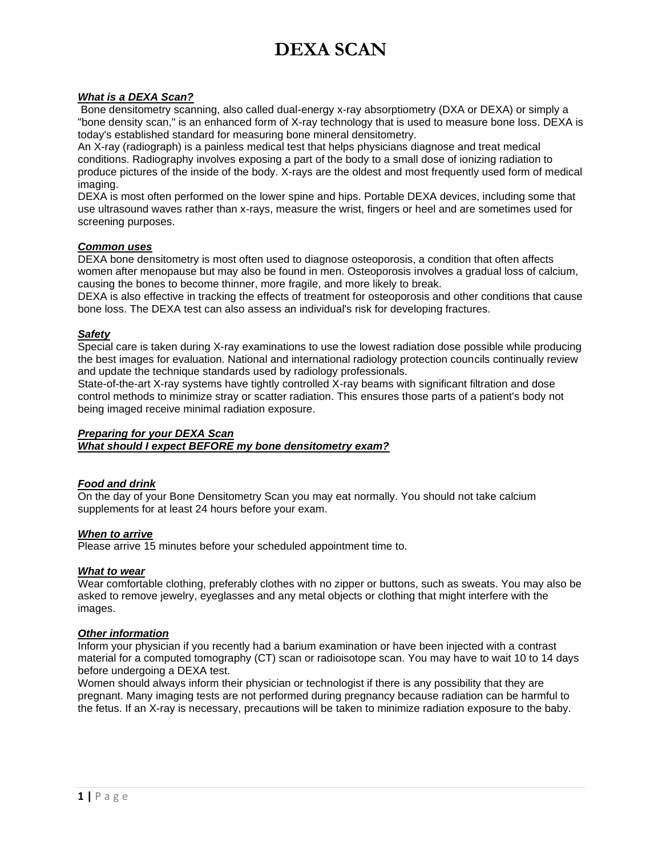# **DEXA SCAN**

# *What is a DEXA Scan?*

Bone densitometry scanning, also called dual-energy x-ray absorptiometry (DXA or DEXA) or simply a "bone density scan," is an enhanced form of X-ray technology that is used to measure bone loss. DEXA is today's established standard for measuring bone mineral densitometry.

An X-ray (radiograph) is a painless medical test that helps physicians diagnose and treat medical conditions. Radiography involves exposing a part of the body to a small dose of ionizing radiation to produce pictures of the inside of the body. X-rays are the oldest and most frequently used form of medical imaging.

DEXA is most often performed on the lower spine and hips. Portable DEXA devices, including some that use ultrasound waves rather than x-rays, measure the wrist, fingers or heel and are sometimes used for screening purposes.

#### *Common uses*

DEXA bone densitometry is most often used to diagnose osteoporosis, a condition that often affects women after menopause but may also be found in men. Osteoporosis involves a gradual loss of calcium, causing the bones to become thinner, more fragile, and more likely to break.

DEXA is also effective in tracking the effects of treatment for osteoporosis and other conditions that cause bone loss. The DEXA test can also assess an individual's risk for developing fractures.

#### *Safety*

Special care is taken during X-ray examinations to use the lowest radiation dose possible while producing the best images for evaluation. National and international radiology protection councils continually review and update the technique standards used by radiology professionals.

State-of-the-art X-ray systems have tightly controlled X-ray beams with significant filtration and dose control methods to minimize stray or scatter radiation. This ensures those parts of a patient's body not being imaged receive minimal radiation exposure.

# *Preparing for your DEXA Scan*

*What should I expect BEFORE my bone densitometry exam?*

# *Food and drink*

On the day of your Bone Densitometry Scan you may eat normally. You should not take calcium supplements for at least 24 hours before your exam.

#### *When to arrive*

Please arrive 15 minutes before your scheduled appointment time to.

#### *What to wear*

Wear comfortable clothing, preferably clothes with no zipper or buttons, such as sweats. You may also be asked to remove jewelry, eyeglasses and any metal objects or clothing that might interfere with the images.

#### *Other information*

Inform your physician if you recently had a barium examination or have been injected with a contrast material for a computed tomography (CT) scan or radioisotope scan. You may have to wait 10 to 14 days before undergoing a DEXA test.

Women should always inform their physician or technologist if there is any possibility that they are pregnant. Many imaging tests are not performed during pregnancy because radiation can be harmful to the fetus. If an X-ray is necessary, precautions will be taken to minimize radiation exposure to the baby.